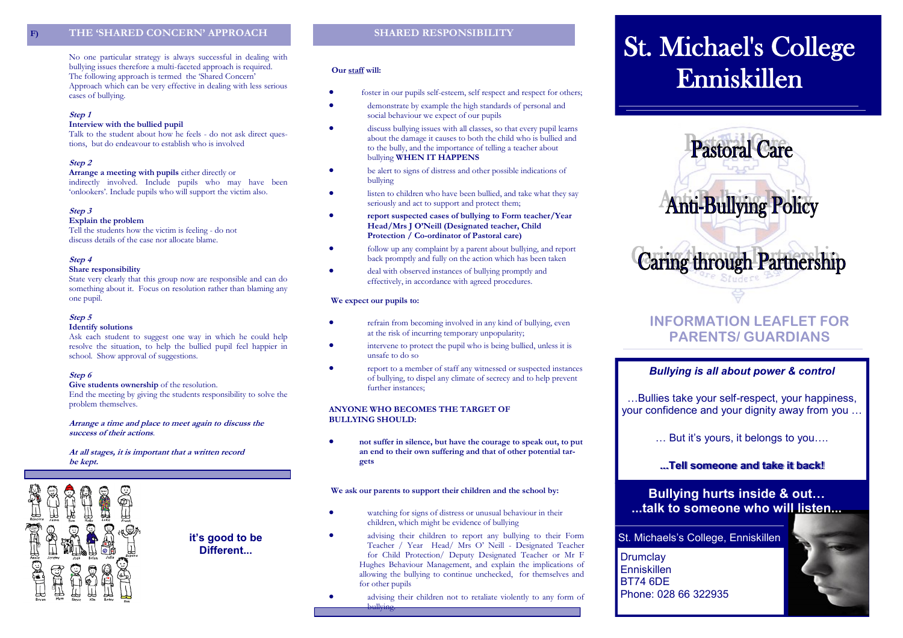## **F) THE 'SHARED CONCERN' APPROACH**

No one particular strategy is always successful in dealing with bullying issues therefore a multi-faceted approach is required. The following approach is termed the 'Shared Concern' Approach which can be very effective in dealing with less serious cases of bullying.

#### **Step 1**

#### **Interview with the bullied pupil**

Talk to the student about how he feels - do not ask direct questions, but do endeavour to establish who is involved

#### **Step 2**

**Arrange a meeting with pupils** either directly or indirectly involved. Include pupils who may have been 'onlookers'. Include pupils who will support the victim also.

#### **Step 3**

#### **Explain the problem**

Tell the students how the victim is feeling - do not discuss details of the case nor allocate blame.

#### **Step 4**

#### **Share responsibility**

State very clearly that this group now are responsible and can do something about it. Focus on resolution rather than blaming any one pupil.

#### **Step 5**

#### **Identify solutions**

Ask each student to suggest one way in which he could help resolve the situation, to help the bullied pupil feel happier in school. Show approval of suggestions.

#### **Step 6**

**Give students ownership** of the resolution. End the meeting by giving the students responsibility to solve the problem themselves.

#### **Arrange a time and place to meet again to discuss the success of their actions**.

#### **At all stages, it is important that a written record be kept.**



**it's good to be Different...**

#### **Our staff will:**

- foster in our pupils self-esteem, self respect and respect for others;
- demonstrate by example the high standards of personal and social behaviour we expect of our pupils
- discuss bullying issues with all classes, so that every pupil learns about the damage it causes to both the child who is bullied and to the bully, and the importance of telling a teacher about bullying **WHEN IT HAPPENS**
- be alert to signs of distress and other possible indications of bullying
- listen to children who have been bullied, and take what they say seriously and act to support and protect them;
- **report suspected cases of bullying to Form teacher/Year Head/Mrs J O'Neill (Designated teacher, Child Protection / Co-ordinator of Pastoral care)**
- follow up any complaint by a parent about bullying, and report back promptly and fully on the action which has been taken
- deal with observed instances of bullying promptly and effectively, in accordance with agreed procedures.

#### **We expect our pupils to:**

bullying.

- refrain from becoming involved in any kind of bullying, even at the risk of incurring temporary unpopularity;
- intervene to protect the pupil who is being bullied, unless it is unsafe to do so
- report to a member of staff any witnessed or suspected instances of bullying, to dispel any climate of secrecy and to help prevent further instances;

#### **ANYONE WHO BECOMES THE TARGET OF BULLYING SHOULD:**

 **not suffer in silence, but have the courage to speak out, to put an end to their own suffering and that of other potential targets**

#### **We ask our parents to support their children and the school by:**

- watching for signs of distress or unusual behaviour in their children, which might be evidence of bullying
- advising their children to report any bullying to their Form Teacher / Year Head/ Mrs O' Neill - Designated Teacher for Child Protection/ Deputy Designated Teacher or Mr F Hughes Behaviour Management, and explain the implications of allowing the bullying to continue unchecked, for themselves and for other pupils
- advising their children not to retaliate violently to any form of

# **St. Michael's College** Enniskillen



# **INFORMATION LEAFLET FOR PARENTS/ GUARDIANS**

#### *Bullying is all about power & control*

…Bullies take your self-respect, your happiness, your confidence and your dignity away from you …

… But it's yours, it belongs to you….

## **...Tell someone and take it back!**

## **Bullying hurts inside & out… ...talk to someone who will listen...**

## St. Michaels's College, Enniskillen

**Drumclav** Enniskillen BT74 6DE Phone: 028 66 322935